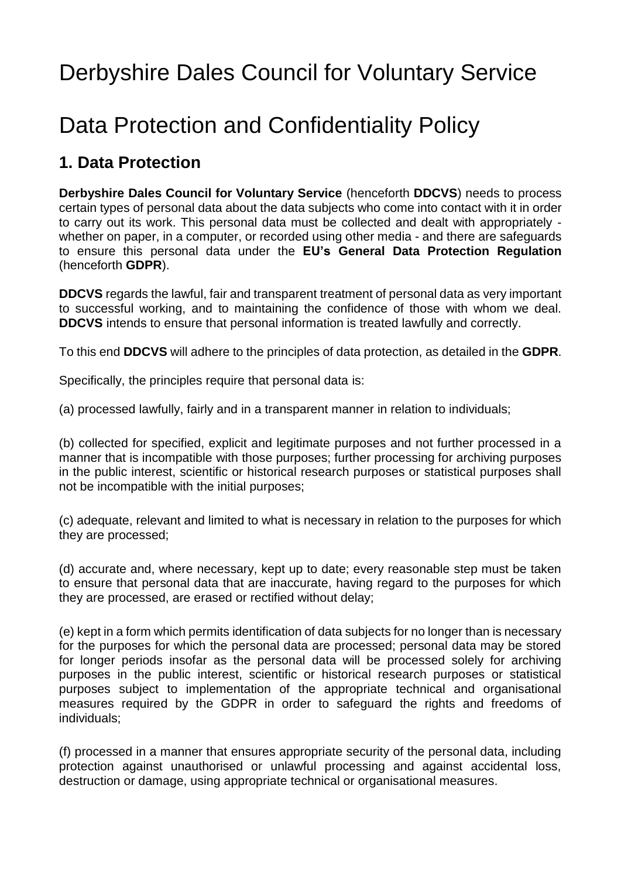# Derbyshire Dales Council for Voluntary Service

# Data Protection and Confidentiality Policy

## **1. Data Protection**

**Derbyshire Dales Council for Voluntary Service** (henceforth **DDCVS**) needs to process certain types of personal data about the data subjects who come into contact with it in order to carry out its work. This personal data must be collected and dealt with appropriately whether on paper, in a computer, or recorded using other media - and there are safeguards to ensure this personal data under the **EU's General Data Protection Regulation** (henceforth **GDPR**).

**DDCVS** regards the lawful, fair and transparent treatment of personal data as very important to successful working, and to maintaining the confidence of those with whom we deal. **DDCVS** intends to ensure that personal information is treated lawfully and correctly.

To this end **DDCVS** will adhere to the principles of data protection, as detailed in the **GDPR**.

Specifically, the principles require that personal data is:

(a) processed lawfully, fairly and in a transparent manner in relation to individuals;

(b) collected for specified, explicit and legitimate purposes and not further processed in a manner that is incompatible with those purposes; further processing for archiving purposes in the public interest, scientific or historical research purposes or statistical purposes shall not be incompatible with the initial purposes;

(c) adequate, relevant and limited to what is necessary in relation to the purposes for which they are processed;

(d) accurate and, where necessary, kept up to date; every reasonable step must be taken to ensure that personal data that are inaccurate, having regard to the purposes for which they are processed, are erased or rectified without delay;

(e) kept in a form which permits identification of data subjects for no longer than is necessary for the purposes for which the personal data are processed; personal data may be stored for longer periods insofar as the personal data will be processed solely for archiving purposes in the public interest, scientific or historical research purposes or statistical purposes subject to implementation of the appropriate technical and organisational measures required by the GDPR in order to safeguard the rights and freedoms of individuals;

(f) processed in a manner that ensures appropriate security of the personal data, including protection against unauthorised or unlawful processing and against accidental loss, destruction or damage, using appropriate technical or organisational measures.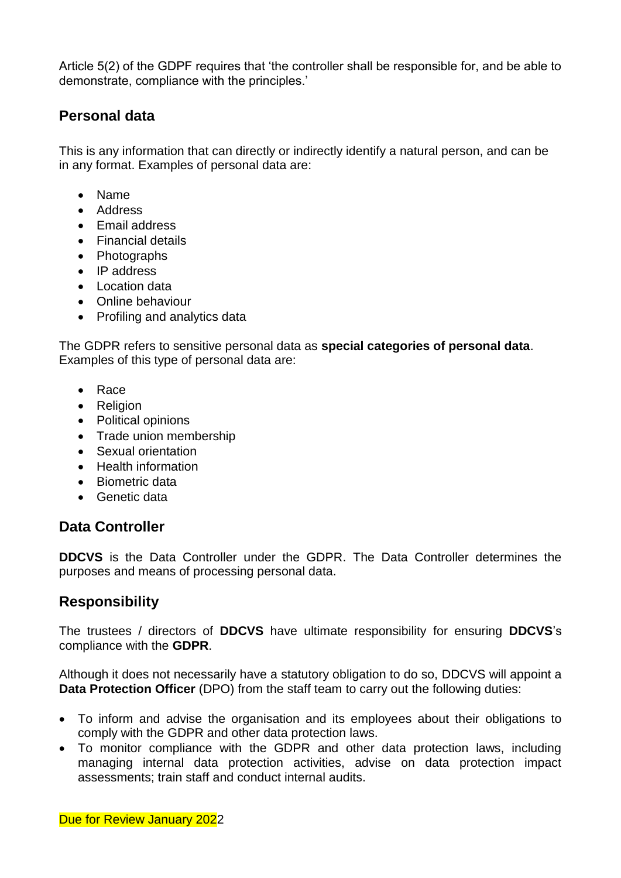Article 5(2) of the GDPF requires that 'the controller shall be responsible for, and be able to demonstrate, compliance with the principles.'

## **Personal data**

This is any information that can directly or indirectly identify a natural person, and can be in any format. Examples of personal data are:

- Name
- Address
- Fmail address
- Financial details
- Photographs
- IP address
- Location data
- Online behaviour
- Profiling and analytics data

The GDPR refers to sensitive personal data as **special categories of personal data**. Examples of this type of personal data are:

- Race
- Religion
- Political opinions
- Trade union membership
- Sexual orientation
- Health information
- Biometric data
- Genetic data

## **Data Controller**

**DDCVS** is the Data Controller under the GDPR. The Data Controller determines the purposes and means of processing personal data.

## **Responsibility**

The trustees / directors of **DDCVS** have ultimate responsibility for ensuring **DDCVS**'s compliance with the **GDPR**.

Although it does not necessarily have a statutory obligation to do so, DDCVS will appoint a **Data Protection Officer** (DPO) from the staff team to carry out the following duties:

- To inform and advise the organisation and its employees about their obligations to comply with the GDPR and other data protection laws.
- To monitor compliance with the GDPR and other data protection laws, including managing internal data protection activities, advise on data protection impact assessments; train staff and conduct internal audits.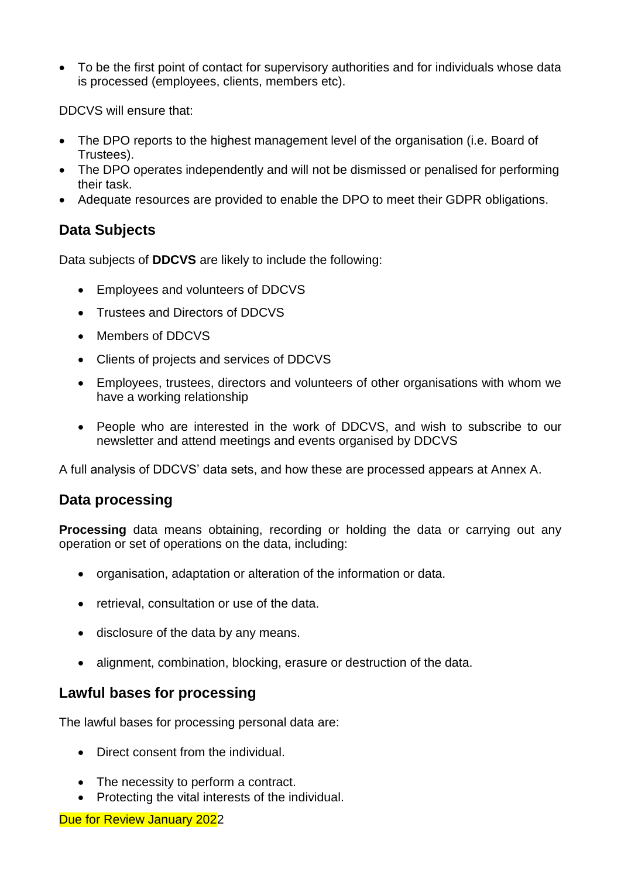To be the first point of contact for supervisory authorities and for individuals whose data is processed (employees, clients, members etc).

DDCVS will ensure that:

- The DPO reports to the highest management level of the organisation (i.e. Board of Trustees).
- The DPO operates independently and will not be dismissed or penalised for performing their task.
- Adequate resources are provided to enable the DPO to meet their GDPR obligations.

## **Data Subjects**

Data subjects of **DDCVS** are likely to include the following:

- Employees and volunteers of DDCVS
- Trustees and Directors of DDCVS
- Members of DDCVS
- Clients of projects and services of DDCVS
- Employees, trustees, directors and volunteers of other organisations with whom we have a working relationship
- People who are interested in the work of DDCVS, and wish to subscribe to our newsletter and attend meetings and events organised by DDCVS

A full analysis of DDCVS' data sets, and how these are processed appears at Annex A.

## **Data processing**

**Processing** data means obtaining, recording or holding the data or carrying out any operation or set of operations on the data, including:

- organisation, adaptation or alteration of the information or data.
- retrieval, consultation or use of the data.
- disclosure of the data by any means.
- alignment, combination, blocking, erasure or destruction of the data.

## **Lawful bases for processing**

The lawful bases for processing personal data are:

- Direct consent from the individual.
- The necessity to perform a contract.
- Protecting the vital interests of the individual.

Due for Review January 2022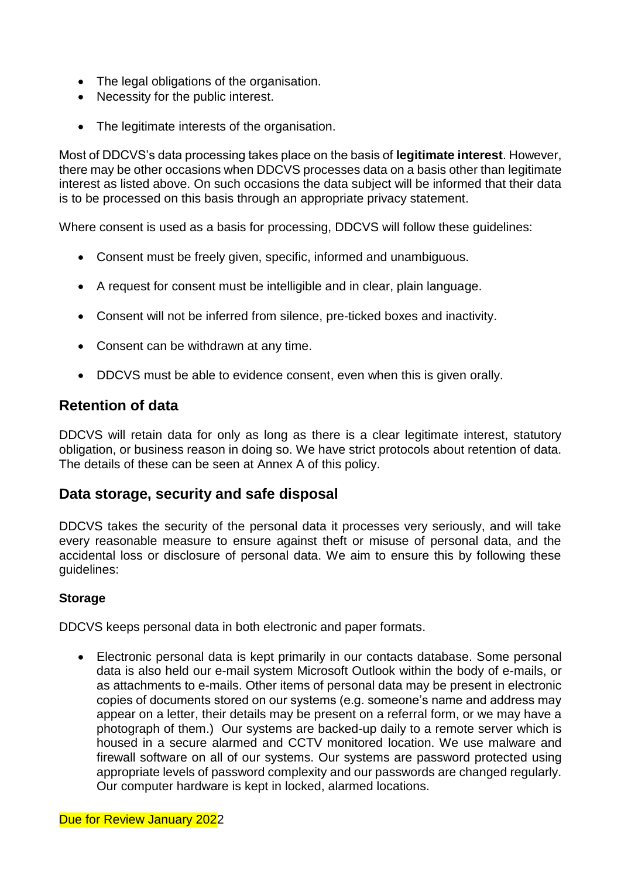- The legal obligations of the organisation.
- Necessity for the public interest.
- The legitimate interests of the organisation.

Most of DDCVS's data processing takes place on the basis of **legitimate interest**. However, there may be other occasions when DDCVS processes data on a basis other than legitimate interest as listed above. On such occasions the data subject will be informed that their data is to be processed on this basis through an appropriate privacy statement.

Where consent is used as a basis for processing, DDCVS will follow these guidelines:

- Consent must be freely given, specific, informed and unambiguous.
- A request for consent must be intelligible and in clear, plain language.
- Consent will not be inferred from silence, pre-ticked boxes and inactivity.
- Consent can be withdrawn at any time.
- DDCVS must be able to evidence consent, even when this is given orally.

#### **Retention of data**

DDCVS will retain data for only as long as there is a clear legitimate interest, statutory obligation, or business reason in doing so. We have strict protocols about retention of data. The details of these can be seen at Annex A of this policy.

#### **Data storage, security and safe disposal**

DDCVS takes the security of the personal data it processes very seriously, and will take every reasonable measure to ensure against theft or misuse of personal data, and the accidental loss or disclosure of personal data. We aim to ensure this by following these guidelines:

#### **Storage**

DDCVS keeps personal data in both electronic and paper formats.

 Electronic personal data is kept primarily in our contacts database. Some personal data is also held our e-mail system Microsoft Outlook within the body of e-mails, or as attachments to e-mails. Other items of personal data may be present in electronic copies of documents stored on our systems (e.g. someone's name and address may appear on a letter, their details may be present on a referral form, or we may have a photograph of them.) Our systems are backed-up daily to a remote server which is housed in a secure alarmed and CCTV monitored location. We use malware and firewall software on all of our systems. Our systems are password protected using appropriate levels of password complexity and our passwords are changed regularly. Our computer hardware is kept in locked, alarmed locations.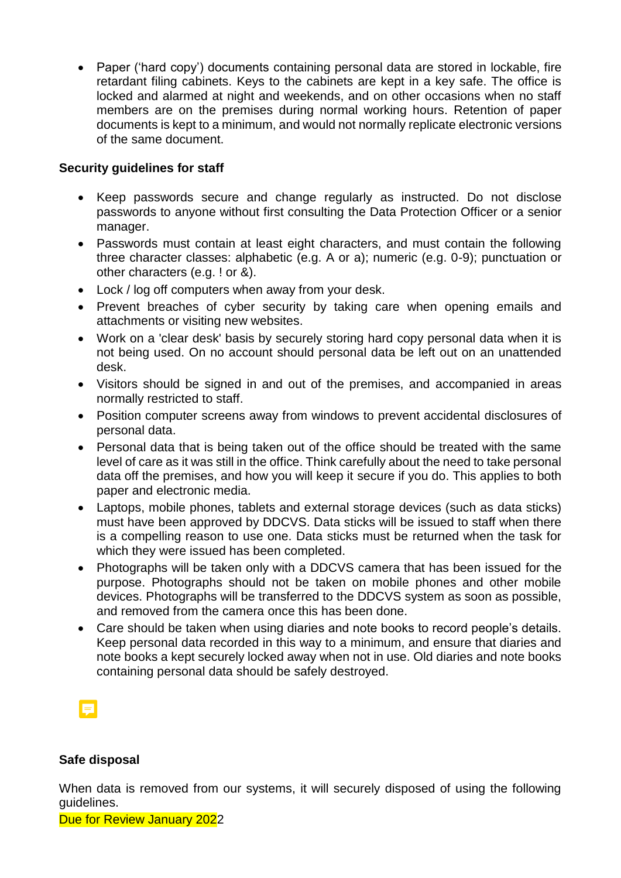Paper ('hard copy') documents containing personal data are stored in lockable, fire retardant filing cabinets. Keys to the cabinets are kept in a key safe. The office is locked and alarmed at night and weekends, and on other occasions when no staff members are on the premises during normal working hours. Retention of paper documents is kept to a minimum, and would not normally replicate electronic versions of the same document.

#### **Security guidelines for staff**

- Keep passwords secure and change regularly as instructed. Do not disclose passwords to anyone without first consulting the Data Protection Officer or a senior manager.
- Passwords must contain at least eight characters, and must contain the following three character classes: alphabetic (e.g. A or a); numeric (e.g. 0-9); punctuation or other characters (e.g. ! or &).
- Lock / log off computers when away from your desk.
- Prevent breaches of cyber security by taking care when opening emails and attachments or visiting new websites.
- Work on a 'clear desk' basis by securely storing hard copy personal data when it is not being used. On no account should personal data be left out on an unattended desk.
- Visitors should be signed in and out of the premises, and accompanied in areas normally restricted to staff.
- Position computer screens away from windows to prevent accidental disclosures of personal data.
- Personal data that is being taken out of the office should be treated with the same level of care as it was still in the office. Think carefully about the need to take personal data off the premises, and how you will keep it secure if you do. This applies to both paper and electronic media.
- Laptops, mobile phones, tablets and external storage devices (such as data sticks) must have been approved by DDCVS. Data sticks will be issued to staff when there is a compelling reason to use one. Data sticks must be returned when the task for which they were issued has been completed.
- Photographs will be taken only with a DDCVS camera that has been issued for the purpose. Photographs should not be taken on mobile phones and other mobile devices. Photographs will be transferred to the DDCVS system as soon as possible, and removed from the camera once this has been done.
- Care should be taken when using diaries and note books to record people's details. Keep personal data recorded in this way to a minimum, and ensure that diaries and note books a kept securely locked away when not in use. Old diaries and note books containing personal data should be safely destroyed.



#### **Safe disposal**

When data is removed from our systems, it will securely disposed of using the following guidelines.

Due for Review January 2022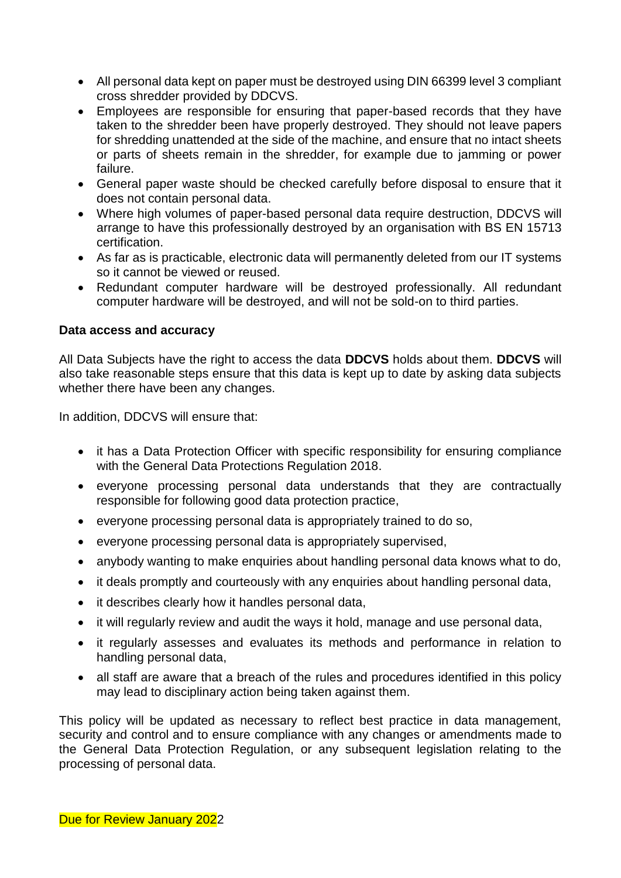- All personal data kept on paper must be destroyed using DIN 66399 level 3 compliant cross shredder provided by DDCVS.
- Employees are responsible for ensuring that paper-based records that they have taken to the shredder been have properly destroyed. They should not leave papers for shredding unattended at the side of the machine, and ensure that no intact sheets or parts of sheets remain in the shredder, for example due to jamming or power failure.
- General paper waste should be checked carefully before disposal to ensure that it does not contain personal data.
- Where high volumes of paper-based personal data require destruction, DDCVS will arrange to have this professionally destroyed by an organisation with BS EN 15713 certification.
- As far as is practicable, electronic data will permanently deleted from our IT systems so it cannot be viewed or reused.
- Redundant computer hardware will be destroyed professionally. All redundant computer hardware will be destroyed, and will not be sold-on to third parties.

#### **Data access and accuracy**

All Data Subjects have the right to access the data **DDCVS** holds about them. **DDCVS** will also take reasonable steps ensure that this data is kept up to date by asking data subjects whether there have been any changes.

In addition, DDCVS will ensure that:

- it has a Data Protection Officer with specific responsibility for ensuring compliance with the General Data Protections Regulation 2018.
- everyone processing personal data understands that they are contractually responsible for following good data protection practice,
- everyone processing personal data is appropriately trained to do so,
- everyone processing personal data is appropriately supervised,
- anybody wanting to make enquiries about handling personal data knows what to do,
- it deals promptly and courteously with any enquiries about handling personal data,
- it describes clearly how it handles personal data,
- it will regularly review and audit the ways it hold, manage and use personal data,
- it regularly assesses and evaluates its methods and performance in relation to handling personal data,
- all staff are aware that a breach of the rules and procedures identified in this policy may lead to disciplinary action being taken against them.

This policy will be updated as necessary to reflect best practice in data management, security and control and to ensure compliance with any changes or amendments made to the General Data Protection Regulation, or any subsequent legislation relating to the processing of personal data.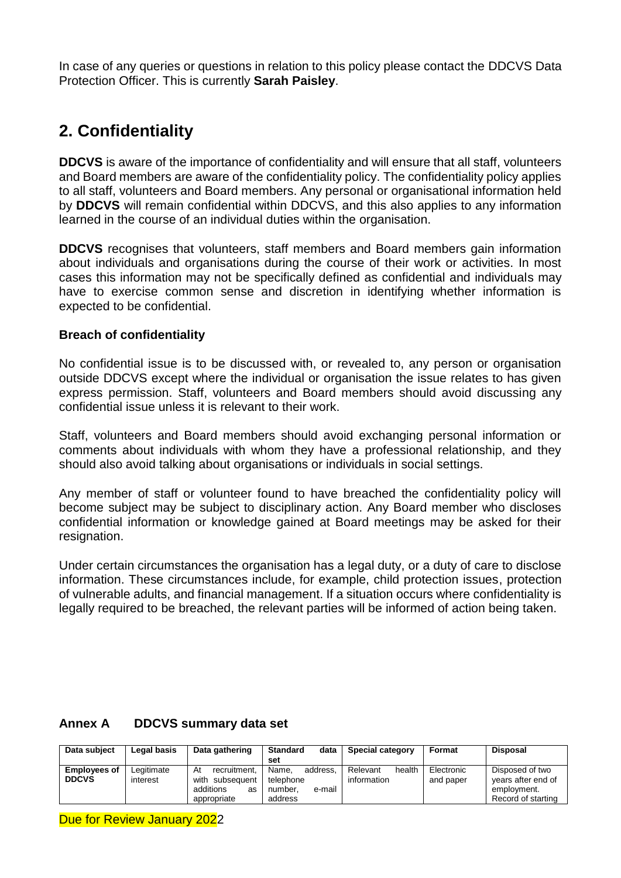In case of any queries or questions in relation to this policy please contact the DDCVS Data Protection Officer. This is currently **Sarah Paisley**.

## **2. Confidentiality**

**DDCVS** is aware of the importance of confidentiality and will ensure that all staff, volunteers and Board members are aware of the confidentiality policy. The confidentiality policy applies to all staff, volunteers and Board members. Any personal or organisational information held by **DDCVS** will remain confidential within DDCVS, and this also applies to any information learned in the course of an individual duties within the organisation.

**DDCVS** recognises that volunteers, staff members and Board members gain information about individuals and organisations during the course of their work or activities. In most cases this information may not be specifically defined as confidential and individuals may have to exercise common sense and discretion in identifying whether information is expected to be confidential.

#### **Breach of confidentiality**

No confidential issue is to be discussed with, or revealed to, any person or organisation outside DDCVS except where the individual or organisation the issue relates to has given express permission. Staff, volunteers and Board members should avoid discussing any confidential issue unless it is relevant to their work.

Staff, volunteers and Board members should avoid exchanging personal information or comments about individuals with whom they have a professional relationship, and they should also avoid talking about organisations or individuals in social settings.

Any member of staff or volunteer found to have breached the confidentiality policy will become subject may be subject to disciplinary action. Any Board member who discloses confidential information or knowledge gained at Board meetings may be asked for their resignation.

Under certain circumstances the organisation has a legal duty, or a duty of care to disclose information. These circumstances include, for example, child protection issues, protection of vulnerable adults, and financial management. If a situation occurs where confidentiality is legally required to be breached, the relevant parties will be informed of action being taken.

| <b>Annex A</b> | <b>DDCVS summary data set</b> |  |
|----------------|-------------------------------|--|
|----------------|-------------------------------|--|

| Data subject                        | Legal basis            | Data gathering                                                             | <b>Standard</b><br>data<br>set                                 | <b>Special category</b>           | Format                  | <b>Disposal</b>                                                            |
|-------------------------------------|------------------------|----------------------------------------------------------------------------|----------------------------------------------------------------|-----------------------------------|-------------------------|----------------------------------------------------------------------------|
| <b>Employees of</b><br><b>DDCVS</b> | ∟egitimate<br>interest | At<br>recruitment.<br>with<br>subsequent<br>additions<br>as<br>appropriate | address.<br>Name.<br>telephone<br>e-mail<br>number.<br>address | health<br>Relevant<br>information | Electronic<br>and paper | Disposed of two<br>years after end of<br>employment.<br>Record of starting |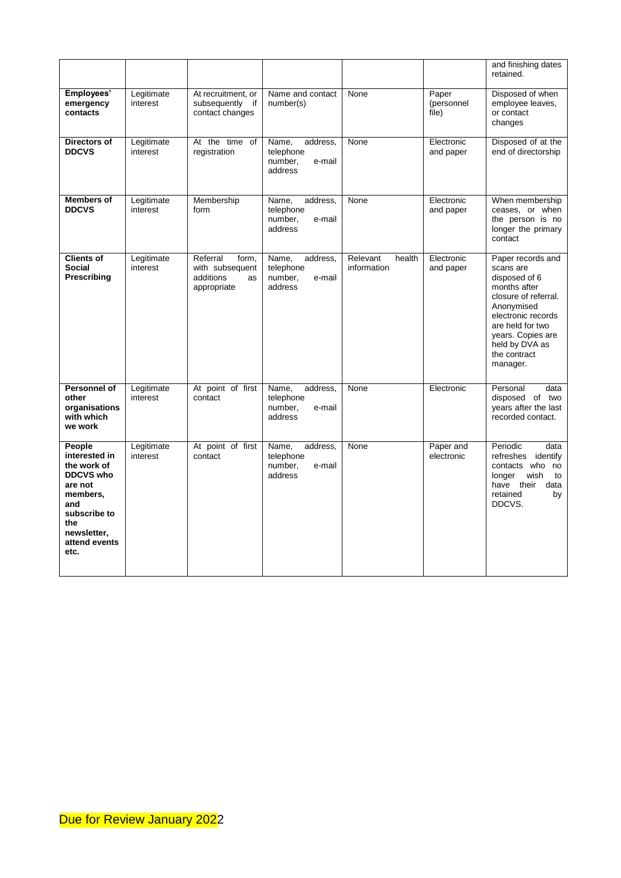|                                                                                                                                                         |                        |                                                                        |                                                                |                                   |                              | and finishing dates<br>retained.                                                                                                                                                                                   |
|---------------------------------------------------------------------------------------------------------------------------------------------------------|------------------------|------------------------------------------------------------------------|----------------------------------------------------------------|-----------------------------------|------------------------------|--------------------------------------------------------------------------------------------------------------------------------------------------------------------------------------------------------------------|
| Employees'<br>emergency<br>contacts                                                                                                                     | Legitimate<br>interest | At recruitment, or<br>subsequently if<br>contact changes               | Name and contact<br>number(s)                                  | None                              | Paper<br>(personnel<br>file) | Disposed of when<br>employee leaves,<br>or contact<br>changes                                                                                                                                                      |
| Directors of<br><b>DDCVS</b>                                                                                                                            | Legitimate<br>interest | At the time of<br>registration                                         | address,<br>Name,<br>telephone<br>number.<br>e-mail<br>address | None                              | Electronic<br>and paper      | Disposed of at the<br>end of directorship                                                                                                                                                                          |
| <b>Members of</b><br><b>DDCVS</b>                                                                                                                       | Legitimate<br>interest | Membership<br>form                                                     | Name,<br>address.<br>telephone<br>number,<br>e-mail<br>address | None                              | Electronic<br>and paper      | When membership<br>ceases, or when<br>the person is no<br>longer the primary<br>contact                                                                                                                            |
| <b>Clients of</b><br><b>Social</b><br>Prescribing                                                                                                       | Legitimate<br>interest | Referral<br>form,<br>with subsequent<br>additions<br>as<br>appropriate | Name,<br>address.<br>telephone<br>number,<br>e-mail<br>address | Relevant<br>health<br>information | Electronic<br>and paper      | Paper records and<br>scans are<br>disposed of 6<br>months after<br>closure of referral.<br>Anonymised<br>electronic records<br>are held for two<br>years. Copies are<br>held by DVA as<br>the contract<br>manager. |
| Personnel of<br>other<br>organisations<br>with which<br>we work                                                                                         | Legitimate<br>interest | At point of first<br>contact                                           | address,<br>Name,<br>telephone<br>number.<br>e-mail<br>address | None                              | Electronic                   | Personal<br>data<br>disposed of two<br>years after the last<br>recorded contact.                                                                                                                                   |
| People<br>interested in<br>the work of<br><b>DDCVS who</b><br>are not<br>members,<br>and<br>subscribe to<br>the<br>newsletter,<br>attend events<br>etc. | Legitimate<br>interest | At point of first<br>contact                                           | address,<br>Name,<br>telephone<br>number.<br>e-mail<br>address | None                              | Paper and<br>electronic      | Periodic<br>data<br>refreshes identify<br>contacts who no<br>longer<br>wish<br>to<br>have their<br>data<br>retained<br>by<br>DDCVS.                                                                                |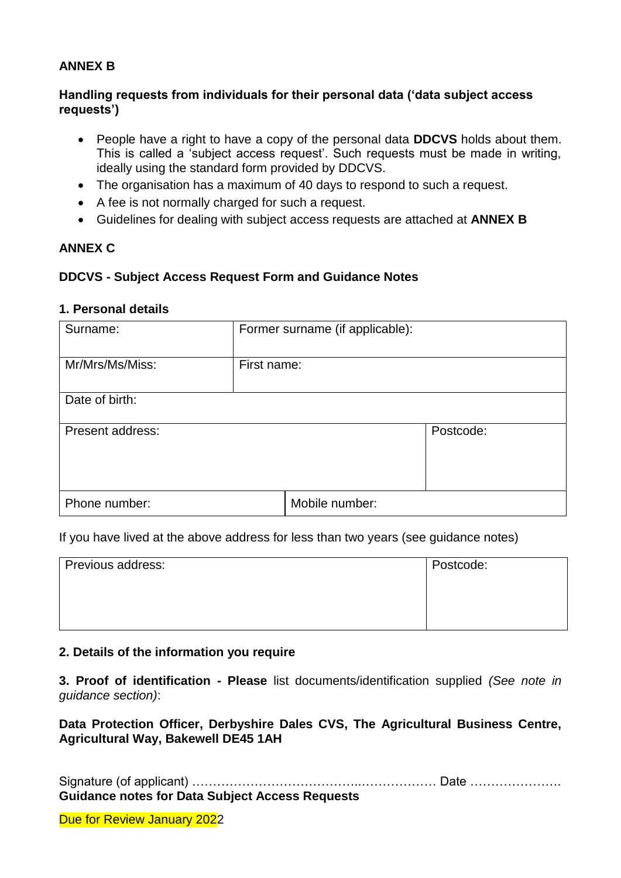#### **ANNEX B**

#### **Handling requests from individuals for their personal data ('data subject access requests')**

- People have a right to have a copy of the personal data **DDCVS** holds about them. This is called a 'subject access request'. Such requests must be made in writing, ideally using the standard form provided by DDCVS.
- The organisation has a maximum of 40 days to respond to such a request.
- A fee is not normally charged for such a request.
- Guidelines for dealing with subject access requests are attached at **ANNEX B**

#### **ANNEX C**

#### **DDCVS - Subject Access Request Form and Guidance Notes**

#### **1. Personal details**

| Surname:         | Former surname (if applicable): |           |
|------------------|---------------------------------|-----------|
| Mr/Mrs/Ms/Miss:  | First name:                     |           |
| Date of birth:   |                                 |           |
| Present address: |                                 | Postcode: |
| Phone number:    | Mobile number:                  |           |

If you have lived at the above address for less than two years (see guidance notes)

| Previous address: | Postcode: |
|-------------------|-----------|
|                   |           |
|                   |           |
|                   |           |

#### **2. Details of the information you require**

**3. Proof of identification - Please** list documents/identification supplied *(See note in guidance section)*:

**Data Protection Officer, Derbyshire Dales CVS, The Agricultural Business Centre, Agricultural Way, Bakewell DE45 1AH** 

Signature (of applicant) …………………………………..……………… Date …………………. **Guidance notes for Data Subject Access Requests** 

Due for Review January 2022